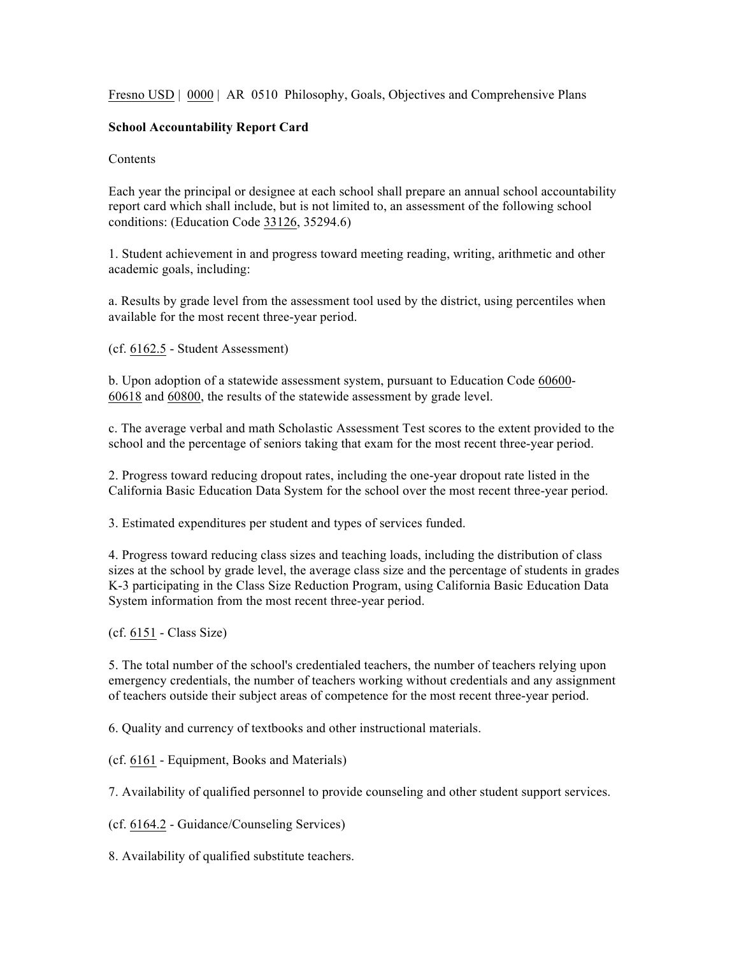Fresno USD | 0000 | AR 0510 Philosophy, Goals, Objectives and Comprehensive Plans

## **School Accountability Report Card**

## **Contents**

Each year the principal or designee at each school shall prepare an annual school accountability report card which shall include, but is not limited to, an assessment of the following school conditions: (Education Code 33126, 35294.6)

1. Student achievement in and progress toward meeting reading, writing, arithmetic and other academic goals, including:

a. Results by grade level from the assessment tool used by the district, using percentiles when available for the most recent three-year period.

(cf. 6162.5 - Student Assessment)

b. Upon adoption of a statewide assessment system, pursuant to Education Code 60600- 60618 and 60800, the results of the statewide assessment by grade level.

c. The average verbal and math Scholastic Assessment Test scores to the extent provided to the school and the percentage of seniors taking that exam for the most recent three-year period.

2. Progress toward reducing dropout rates, including the one-year dropout rate listed in the California Basic Education Data System for the school over the most recent three-year period.

3. Estimated expenditures per student and types of services funded.

4. Progress toward reducing class sizes and teaching loads, including the distribution of class sizes at the school by grade level, the average class size and the percentage of students in grades K-3 participating in the Class Size Reduction Program, using California Basic Education Data System information from the most recent three-year period.

(cf. 6151 - Class Size)

5. The total number of the school's credentialed teachers, the number of teachers relying upon emergency credentials, the number of teachers working without credentials and any assignment of teachers outside their subject areas of competence for the most recent three-year period.

6. Quality and currency of textbooks and other instructional materials.

(cf. 6161 - Equipment, Books and Materials)

7. Availability of qualified personnel to provide counseling and other student support services.

(cf. 6164.2 - Guidance/Counseling Services)

8. Availability of qualified substitute teachers.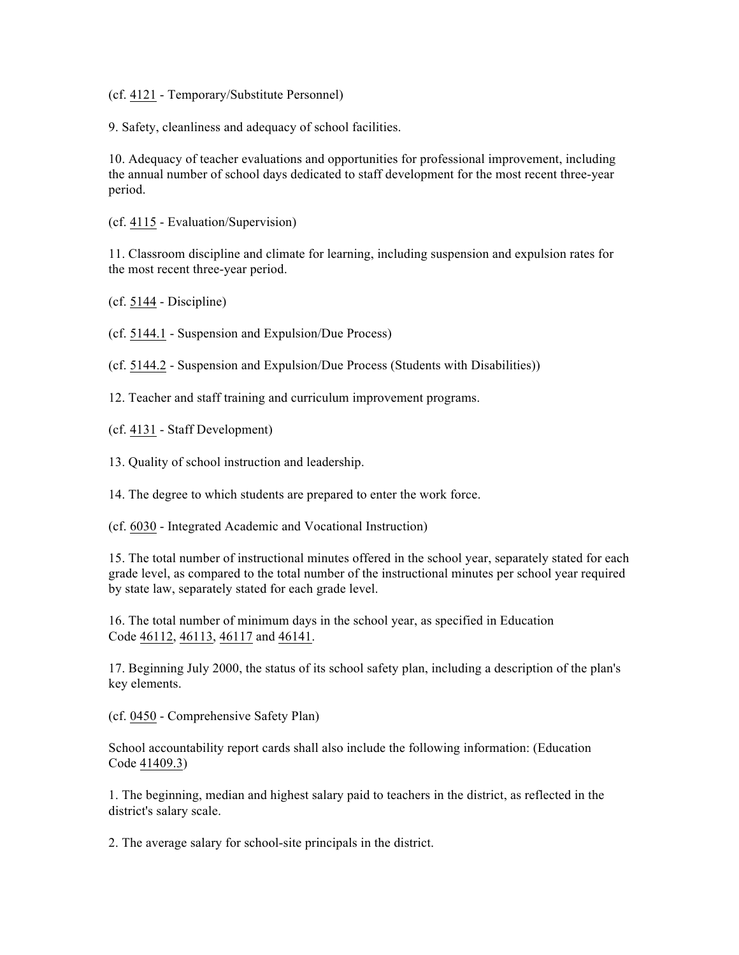(cf. 4121 - Temporary/Substitute Personnel)

9. Safety, cleanliness and adequacy of school facilities.

10. Adequacy of teacher evaluations and opportunities for professional improvement, including the annual number of school days dedicated to staff development for the most recent three-year period.

(cf. 4115 - Evaluation/Supervision)

11. Classroom discipline and climate for learning, including suspension and expulsion rates for the most recent three-year period.

(cf. 5144 - Discipline)

(cf. 5144.1 - Suspension and Expulsion/Due Process)

(cf. 5144.2 - Suspension and Expulsion/Due Process (Students with Disabilities))

12. Teacher and staff training and curriculum improvement programs.

(cf. 4131 - Staff Development)

13. Quality of school instruction and leadership.

14. The degree to which students are prepared to enter the work force.

(cf. 6030 - Integrated Academic and Vocational Instruction)

15. The total number of instructional minutes offered in the school year, separately stated for each grade level, as compared to the total number of the instructional minutes per school year required by state law, separately stated for each grade level.

16. The total number of minimum days in the school year, as specified in Education Code 46112, 46113, 46117 and 46141.

17. Beginning July 2000, the status of its school safety plan, including a description of the plan's key elements.

(cf. 0450 - Comprehensive Safety Plan)

School accountability report cards shall also include the following information: (Education Code 41409.3)

1. The beginning, median and highest salary paid to teachers in the district, as reflected in the district's salary scale.

2. The average salary for school-site principals in the district.